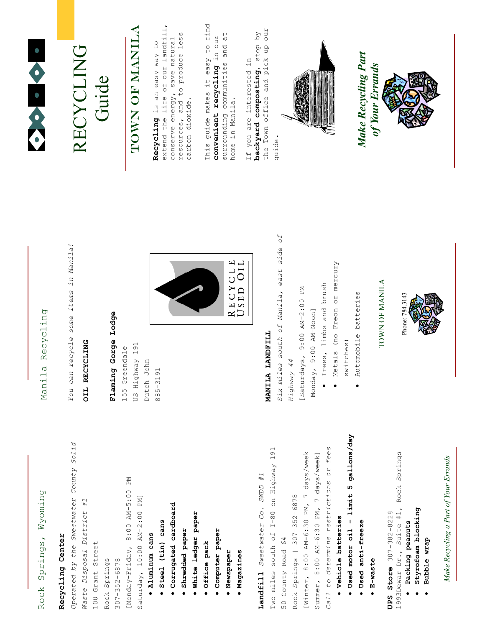# Rock Springs, Wyoming Rock Springs, Wyoming

## Recycling Center Recycling Center

Operated by the Sweetwater County Solid Operated by the Sweetwater County Solid [Monday-Friday, 8:00 AM-5:00 PM [Monday-Friday, 8:00 AM-5:00 PM Saturday, 10:00 AM-2:00 PM] Waste Disposal District #1 Saturday, 10:00 AM-2:00 PM] Waste Disposal District #1 **• Corrugated cardboard**  Corrugated cardboard • Steel (tin) cans Steel (tin) cans · Aluminum cans Aluminum cans 100 Grant Street 100 Grant Street Rock Springs 307-352-6878 Rock Springs  $307 - 352 - 6878$ 

- Shredded paper Shredded paper •
- · White ledger paper White ledger paper
	- · Office pack Office pack
- **Computer paper**  Computer paper
	- · Newspaper Newspaper
- · Magazines Magazines

Two miles south of I-80 on Highway 191 Two miles south of I-80 on Highway 191 [Winter, 8:00 AM-6:30 PM, 7 days/week [Winter, 8:00 AM-6:30 PM, 7 days/week Landfill Sweetwater Co. SWDD #1 Landfill Sweetwater Co. SWDD #1 Rock Springs | 307-352-6878 Rock Springs | 307-352-6878 50 County Road 64 50 County Road 64

Call to determine restrictions or fees Call to determine restrictions or fees Summer, 8:00 AM-6:30 PM, 7 days/week] Summer,  $8:00$  AM-6:30 PM, 7 days/week]

- Vehicle batteries Vehicle batteries
- Used motor oil limit 5 gallons/day Used motor oil – limit 5 gallons/day
- · Used anti-freeze Used anti-freeze
	- E-waste

1993Dewar Dr., Suite #1, Rock Springs 1993Dewar Dr., Suite #1, Rock Springs UPS Store 307-382-8228 UPS Store  $307-382-8228$ 

- · Packing peanuts Packing peanuts
- Styrofoam blocking Styrofoam blocking •
	- Bubble wrap Bubble wrap •

Make Recycling a Part of Your Errands Make Recycling a Part of Your Errands

## Manila Recycling Manila Recycling

You can recycle some items in Manila! You can recycle some items in Manila!

#### OIL RECYCLING OIL RECYCLING

## Flaming Gorge Lodge Flaming Gorge Lodge

US Highway 191 155 Greendale US Highway 191 155 Greendale Dutch John Dutch John

885-3191



### MANILA LANDFILL MANILA LANDFILL

Six miles south of Manila, east side of Six miles south of Manila, east side of Trees, limbs and brush [Saturdays, 9:00 AM-2:00 PM • Trees, limbs and brush [Saturdays, 9:00 AM-2:00 PM Monday, 9:00 AM-Noon] Monday, 9:00 AM-Noon] Highway 44 Highway 44 •

- Metals (no Freon or mercury Metals (no Freon or mercury
	- Automobile batteries Automobile batteries switches) •

### TOWN OF MANILA TOWN OF MANILA

Phone: 784.3143 Phone: 784.3143



### RECYCLING RECYCLING Guide

# Town of Manila TOWN OF MANILA

extend the life of our landfill, extend the life of our landfill, resources, and to produce less resources, and to produce less conserve energy, save natural Recycling is an easy way to conserve energy, save natural Recycling is an easy way to carbon dioxide. carbon dioxide.

This guide makes it easy to find This guide makes it easy to find surrounding communities and at convenient recycling in our surrounding communities and at convenient recycling in our home in Manila. home in Manila.

the Town office and pick up our backyard composting, stop by the Town office and pick up our backyard composting, stop by If you are interested in If you are interested in guide.



Make Recycling Part Make Recycling Part of Your Errands of Your Errands